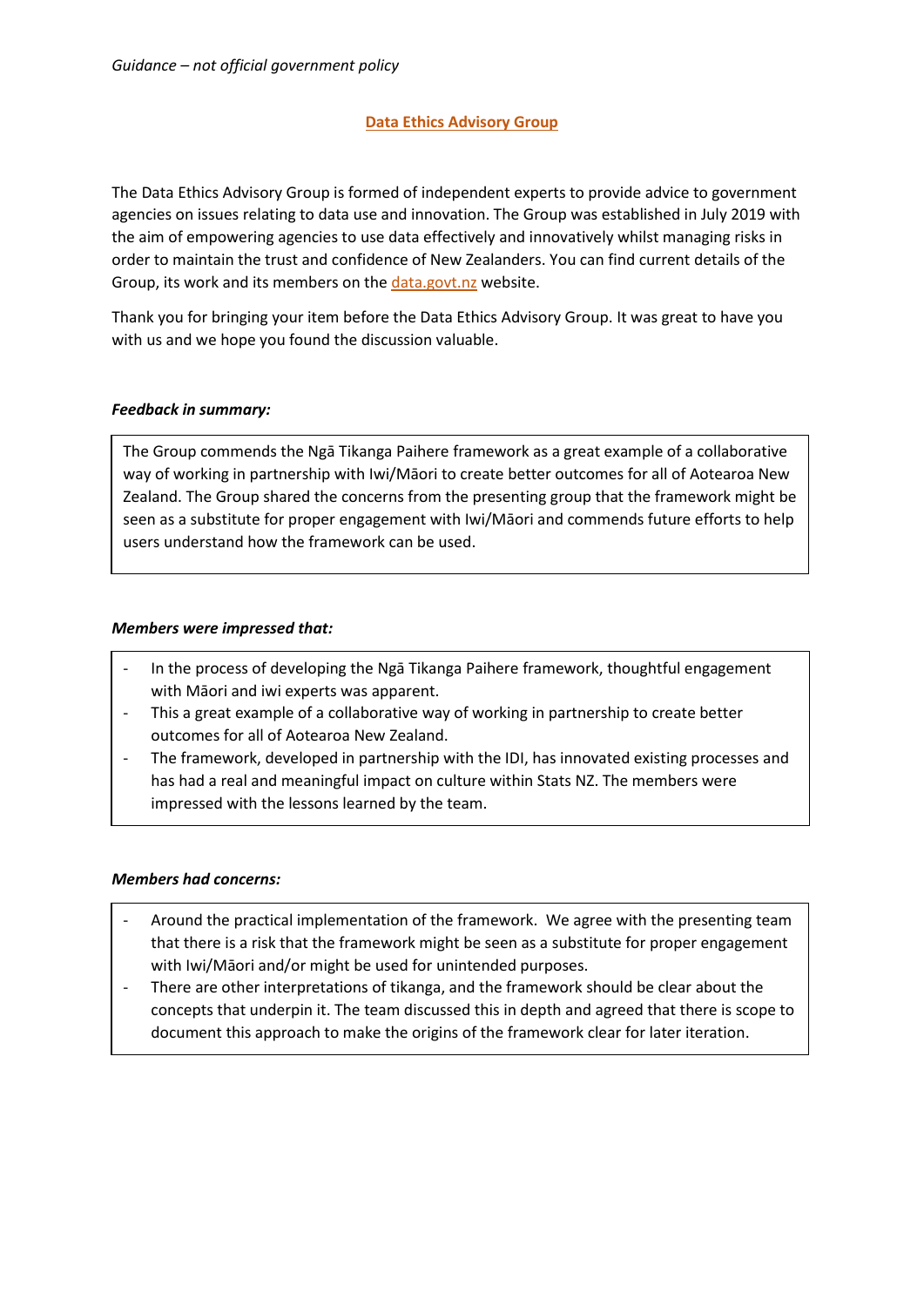# **Data Ethics Advisory Group**

The Data Ethics Advisory Group is formed of independent experts to provide advice to government agencies on issues relating to data use and innovation. The Group was established in July 2019 with the aim of empowering agencies to use data effectively and innovatively whilst managing risks in order to maintain the trust and confidence of New Zealanders. You can find current details of the Group, its work and its members on the [data.govt.nz](https://data.govt.nz/about/government-chief-data-steward-gcds/data-ethics-advisory-group/meeting-agendas-and-minutes/) website.

Thank you for bringing your item before the Data Ethics Advisory Group. It was great to have you with us and we hope you found the discussion valuable.

# *Feedback in summary:*

The Group commends the Ngā Tikanga Paihere framework as a great example of a collaborative way of working in partnership with Iwi/Māori to create better outcomes for all of Aotearoa New Zealand. The Group shared the concerns from the presenting group that the framework might be seen as a substitute for proper engagement with Iwi/Māori and commends future efforts to help users understand how the framework can be used.

# *Members were impressed that:*

- In the process of developing the Ngā Tikanga Paihere framework, thoughtful engagement with Māori and iwi experts was apparent.
- This a great example of a collaborative way of working in partnership to create better outcomes for all of Aotearoa New Zealand.
- The framework, developed in partnership with the IDI, has innovated existing processes and has had a real and meaningful impact on culture within Stats NZ. The members were impressed with the lessons learned by the team.

#### *Members had concerns:*

- Around the practical implementation of the framework. We agree with the presenting team that there is a risk that the framework might be seen as a substitute for proper engagement with Iwi/Māori and/or might be used for unintended purposes.
- There are other interpretations of tikanga, and the framework should be clear about the concepts that underpin it. The team discussed this in depth and agreed that there is scope to document this approach to make the origins of the framework clear for later iteration.